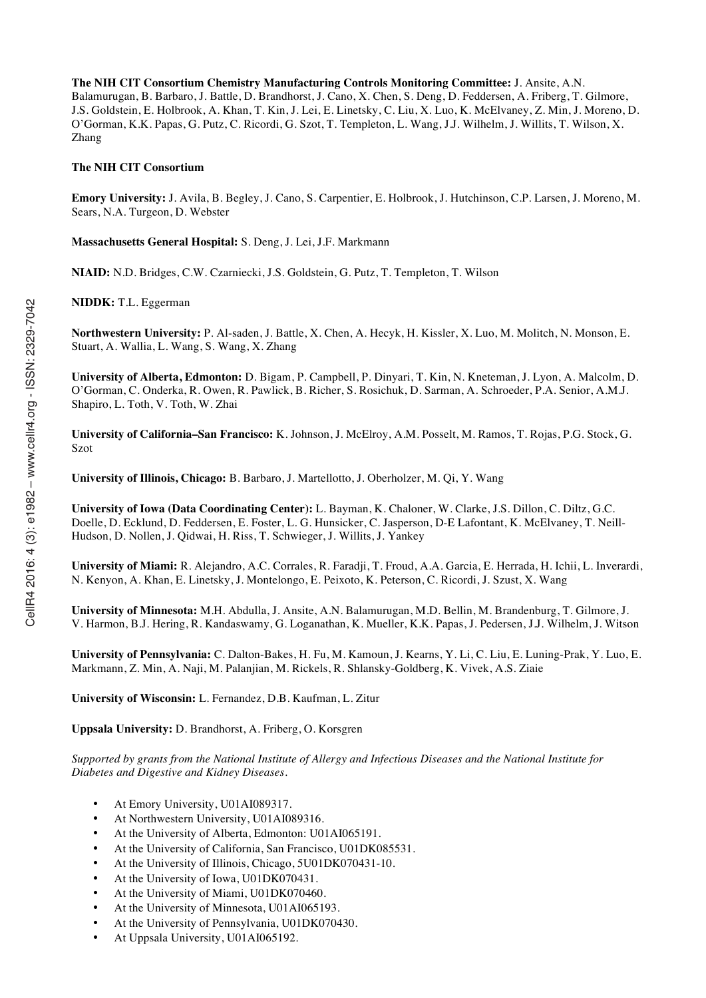**The NIH CIT Consortium Chemistry Manufacturing Controls Monitoring Committee:** J. Ansite, A.N. Balamurugan, B. Barbaro, J. Battle, D. Brandhorst, J. Cano, X. Chen, S. Deng, D. Feddersen, A. Friberg, T. Gilmore, J.S. Goldstein, E. Holbrook, A. Khan, T. Kin, J. Lei, E. Linetsky, C. Liu, X. Luo, K. McElvaney, Z. Min, J. Moreno, D. O'Gorman, K.K. Papas, G. Putz, C. Ricordi, G. Szot, T. Templeton, L. Wang, J.J. Wilhelm, J. Willits, T. Wilson, X. Zhang

## **The NIH CIT Consortium**

**Emory University:** J. Avila, B. Begley, J. Cano, S. Carpentier, E. Holbrook, J. Hutchinson, C.P. Larsen, J. Moreno, M. Sears, N.A. Turgeon, D. Webster

**Massachusetts General Hospital:** S. Deng, J. Lei, J.F. Markmann

**NIAID:** N.D. Bridges, C.W. Czarniecki, J.S. Goldstein, G. Putz, T. Templeton, T. Wilson

**NIDDK:** T.L. Eggerman

**Northwestern University:** P. Al-saden, J. Battle, X. Chen, A. Hecyk, H. Kissler, X. Luo, M. Molitch, N. Monson, E. Stuart, A. Wallia, L. Wang, S. Wang, X. Zhang

**University of Alberta, Edmonton:** D. Bigam, P. Campbell, P. Dinyari, T. Kin, N. Kneteman, J. Lyon, A. Malcolm, D. O'Gorman, C. Onderka, R. Owen, R. Pawlick, B. Richer, S. Rosichuk, D. Sarman, A. Schroeder, P.A. Senior, A.M.J. Shapiro, L. Toth, V. Toth, W. Zhai

**University of California–San Francisco:** K. Johnson, J. McElroy, A.M. Posselt, M. Ramos, T. Rojas, P.G. Stock, G. Szot

**University of Illinois, Chicago:** B. Barbaro, J. Martellotto, J. Oberholzer, M. Qi, Y. Wang

**University of Iowa (Data Coordinating Center):** L. Bayman, K. Chaloner, W. Clarke, J.S. Dillon, C. Diltz, G.C. Doelle, D. Ecklund, D. Feddersen, E. Foster, L. G. Hunsicker, C. Jasperson, D-E Lafontant, K. McElvaney, T. Neill-Hudson, D. Nollen, J. Qidwai, H. Riss, T. Schwieger, J. Willits, J. Yankey

**University of Miami:** R. Alejandro, A.C. Corrales, R. Faradji, T. Froud, A.A. Garcia, E. Herrada, H. Ichii, L. Inverardi, N. Kenyon, A. Khan, E. Linetsky, J. Montelongo, E. Peixoto, K. Peterson, C. Ricordi, J. Szust, X. Wang

**University of Minnesota:** M.H. Abdulla, J. Ansite, A.N. Balamurugan, M.D. Bellin, M. Brandenburg, T. Gilmore, J. V. Harmon, B.J. Hering, R. Kandaswamy, G. Loganathan, K. Mueller, K.K. Papas, J. Pedersen, J.J. Wilhelm, J. Witson

**University of Pennsylvania:** C. Dalton-Bakes, H. Fu, M. Kamoun, J. Kearns, Y. Li, C. Liu, E. Luning-Prak, Y. Luo, E. Markmann, Z. Min, A. Naji, M. Palanjian, M. Rickels, R. Shlansky-Goldberg, K. Vivek, A.S. Ziaie

**University of Wisconsin:** L. Fernandez, D.B. Kaufman, L. Zitur

**Uppsala University:** D. Brandhorst, A. Friberg, O. Korsgren

*Supported by grants from the National Institute of Allergy and Infectious Diseases and the National Institute for Diabetes and Digestive and Kidney Diseases.*

- At Emory University, U01AI089317.
- At Northwestern University, U01AI089316.
- At the University of Alberta, Edmonton: U01AI065191.
- At the University of California, San Francisco, U01DK085531.
- At the University of Illinois, Chicago, 5U01DK070431-10.
- At the University of Iowa, U01DK070431.
- At the University of Miami, U01DK070460.
- At the University of Minnesota, U01AI065193.
- At the University of Pennsylvania, U01DK070430.
- At Uppsala University, U01AI065192.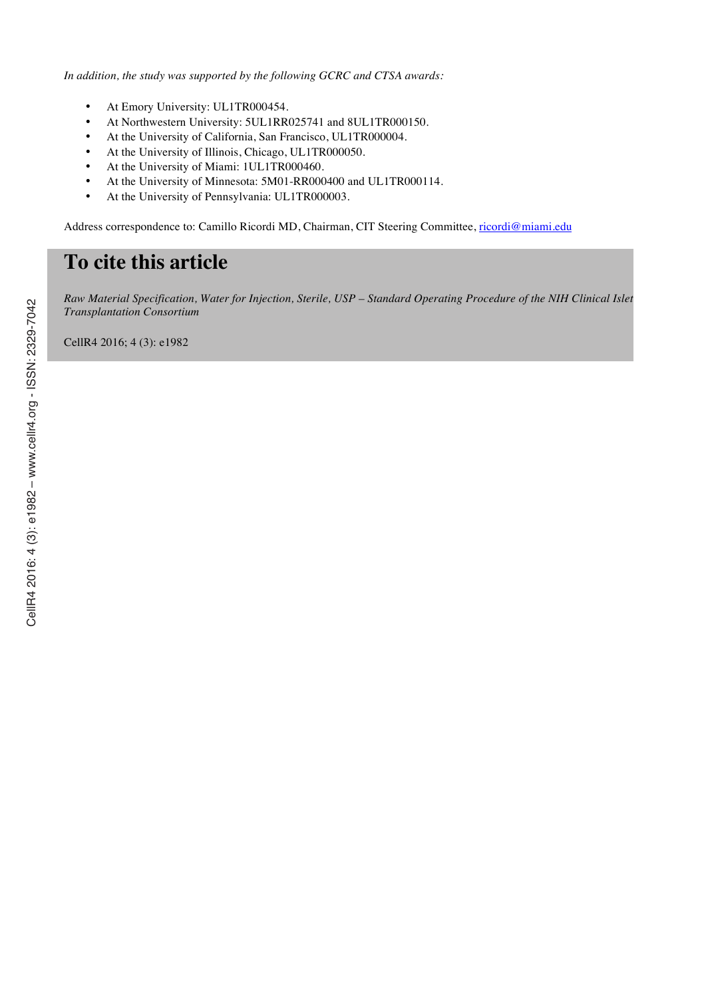*In addition, the study was supported by the following GCRC and CTSA awards:*

- At Emory University: UL1TR000454.
- At Northwestern University: 5UL1RR025741 and 8UL1TR000150.
- At the University of California, San Francisco, UL1TR000004.
- At the University of Illinois, Chicago, UL1TR000050.
- At the University of Miami: 1UL1TR000460.
- At the University of Minnesota: 5M01-RR000400 and UL1TR000114.
- At the University of Pennsylvania: UL1TR000003.

Address correspondence to: Camillo Ricordi MD, Chairman, CIT Steering Committee, ricordi@miami.edu

# **To cite this article**

*Raw Material Specification, Water for Injection, Sterile, USP – Standard Operating Procedure of the NIH Clinical Islet Transplantation Consortium*

CellR4 2016; 4 (3): e1982